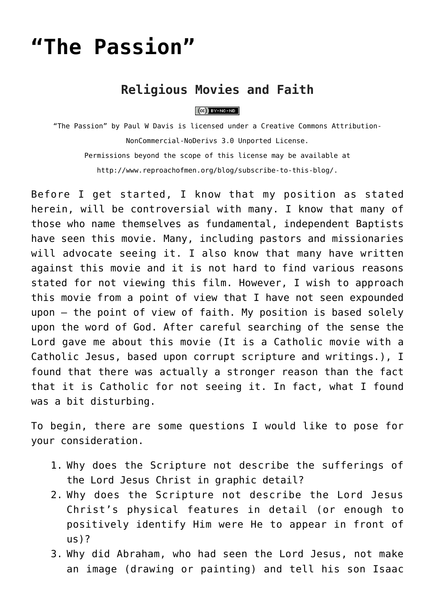# **["The Passion"](http://reproachofmen.org/spiritualwar/the-passion/)**

# **Religious Movies and Faith**

#### $(CC)$  BY-NC-ND

"The Passion" by [Paul W Davis](http://www.reproachofmen.org/blog/spiritualwar/the-passion/) is licensed under a [Creative Commons Attribution-](http://creativecommons.org/licenses/by-nc-nd/3.0/)[NonCommercial-NoDerivs 3.0 Unported License](http://creativecommons.org/licenses/by-nc-nd/3.0/). Permissions beyond the scope of this license may be available at [http://www.reproachofmen.org/blog/subscribe-to-this-blog/.](http://www.reproachofmen.org/blog/subscribe-to-this-blog/)

Before I get started, I know that my position as stated herein, will be controversial with many. I know that many of those who name themselves as fundamental, independent Baptists have seen this movie. Many, including pastors and missionaries will advocate seeing it. I also know that many have written against this movie and it is not hard to find various reasons stated for not viewing this film. However, I wish to approach this movie from a point of view that I have not seen expounded upon — the point of view of faith. My position is based solely upon the word of God. After careful searching of the sense the Lord gave me about this movie (It is a Catholic movie with a Catholic Jesus, based upon corrupt scripture and writings.), I found that there was actually a stronger reason than the fact that it is Catholic for not seeing it. In fact, what I found was a bit disturbing.

To begin, there are some questions I would like to pose for your consideration.

- 1. Why does the Scripture not describe the sufferings of the Lord Jesus Christ in graphic detail?
- 2. Why does the Scripture not describe the Lord Jesus Christ's physical features in detail (or enough to positively identify Him were He to appear in front of us)?
- 3. Why did Abraham, who had seen the Lord Jesus, not make an image (drawing or painting) and tell his son Isaac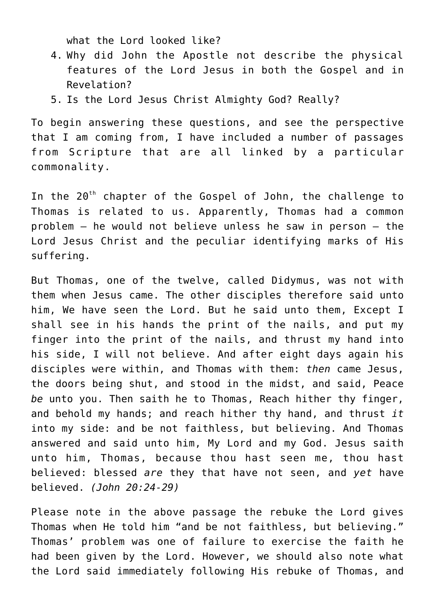what the Lord looked like?

- 4. Why did John the Apostle not describe the physical features of the Lord Jesus in both the Gospel and in Revelation?
- 5. Is the Lord Jesus Christ Almighty God? Really?

To begin answering these questions, and see the perspective that I am coming from, I have included a number of passages from Scripture that are all linked by a particular commonality.

In the 20<sup>th</sup> chapter of the Gospel of John, the challenge to Thomas is related to us. Apparently, Thomas had a common problem — he would not believe unless he saw in person — the Lord Jesus Christ and the peculiar identifying marks of His suffering.

But Thomas, one of the twelve, called Didymus, was not with them when Jesus came. The other disciples therefore said unto him, We have seen the Lord. But he said unto them, Except I shall see in his hands the print of the nails, and put my finger into the print of the nails, and thrust my hand into his side, I will not believe. And after eight days again his disciples were within, and Thomas with them: *then* came Jesus, the doors being shut, and stood in the midst, and said, Peace *be* unto you. Then saith he to Thomas, Reach hither thy finger, and behold my hands; and reach hither thy hand, and thrust *it* into my side: and be not faithless, but believing. And Thomas answered and said unto him, My Lord and my God. Jesus saith unto him, Thomas, because thou hast seen me, thou hast believed: blessed *are* they that have not seen, and *yet* have believed. *(John 20:24-29)*

Please note in the above passage the rebuke the Lord gives Thomas when He told him "and be not faithless, but believing." Thomas' problem was one of failure to exercise the faith he had been given by the Lord. However, we should also note what the Lord said immediately following His rebuke of Thomas, and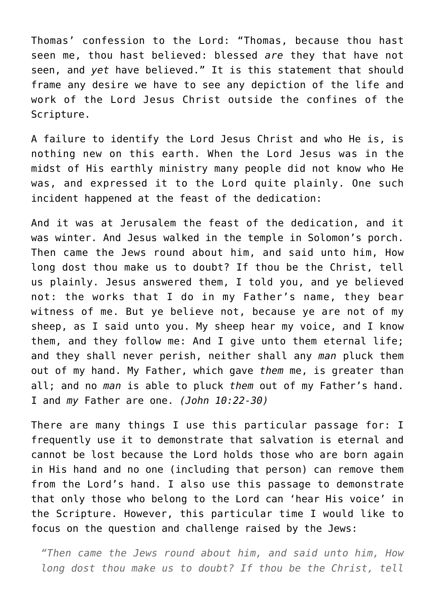Thomas' confession to the Lord: "Thomas, because thou hast seen me, thou hast believed: blessed *are* they that have not seen, and *yet* have believed." It is this statement that should frame any desire we have to see any depiction of the life and work of the Lord Jesus Christ outside the confines of the Scripture.

A failure to identify the Lord Jesus Christ and who He is, is nothing new on this earth. When the Lord Jesus was in the midst of His earthly ministry many people did not know who He was, and expressed it to the Lord quite plainly. One such incident happened at the feast of the dedication:

And it was at Jerusalem the feast of the dedication, and it was winter. And Jesus walked in the temple in Solomon's porch. Then came the Jews round about him, and said unto him, How long dost thou make us to doubt? If thou be the Christ, tell us plainly. Jesus answered them, I told you, and ye believed not: the works that I do in my Father's name, they bear witness of me. But ye believe not, because ye are not of my sheep, as I said unto you. My sheep hear my voice, and I know them, and they follow me: And I give unto them eternal life; and they shall never perish, neither shall any *man* pluck them out of my hand. My Father, which gave *them* me, is greater than all; and no *man* is able to pluck *them* out of my Father's hand. I and *my* Father are one. *(John 10:22-30)*

There are many things I use this particular passage for: I frequently use it to demonstrate that salvation is eternal and cannot be lost because the Lord holds those who are born again in His hand and no one (including that person) can remove them from the Lord's hand. I also use this passage to demonstrate that only those who belong to the Lord can 'hear His voice' in the Scripture. However, this particular time I would like to focus on the question and challenge raised by the Jews:

*"Then came the Jews round about him, and said unto him, How long dost thou make us to doubt? If thou be the Christ, tell*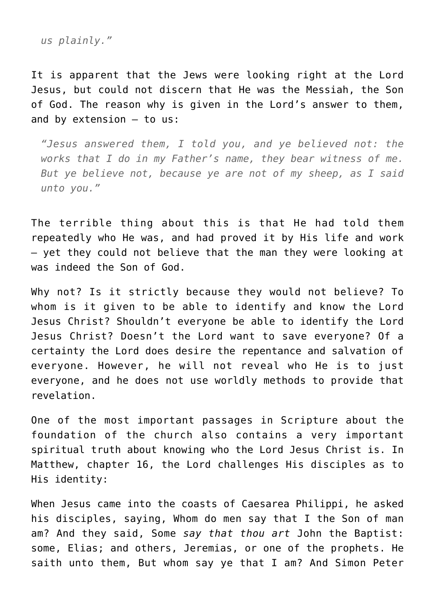*us plainly."*

It is apparent that the Jews were looking right at the Lord Jesus, but could not discern that He was the Messiah, the Son of God. The reason why is given in the Lord's answer to them, and by extension — to us:

*"Jesus answered them, I told you, and ye believed not: the works that I do in my Father's name, they bear witness of me. But ye believe not, because ye are not of my sheep, as I said unto you."*

The terrible thing about this is that He had told them repeatedly who He was, and had proved it by His life and work — yet they could not believe that the man they were looking at was indeed the Son of God.

Why not? Is it strictly because they would not believe? To whom is it given to be able to identify and know the Lord Jesus Christ? Shouldn't everyone be able to identify the Lord Jesus Christ? Doesn't the Lord want to save everyone? Of a certainty the Lord does desire the repentance and salvation of everyone. However, he will not reveal who He is to just everyone, and he does not use worldly methods to provide that revelation.

One of the most important passages in Scripture about the foundation of the church also contains a very important spiritual truth about knowing who the Lord Jesus Christ is. In Matthew, chapter 16, the Lord challenges His disciples as to His identity:

When Jesus came into the coasts of Caesarea Philippi, he asked his disciples, saying, Whom do men say that I the Son of man am? And they said, Some *say that thou art* John the Baptist: some, Elias; and others, Jeremias, or one of the prophets. He saith unto them, But whom say ye that I am? And Simon Peter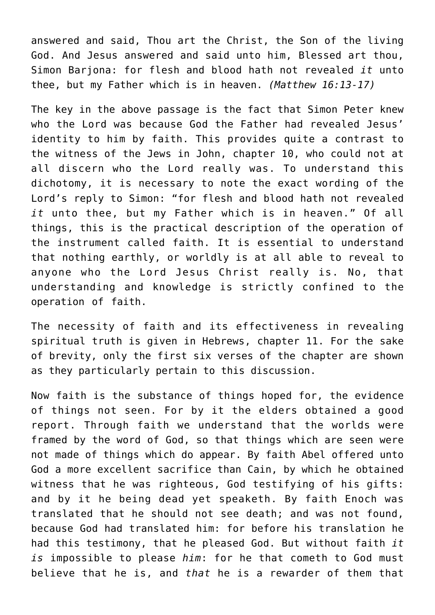answered and said, Thou art the Christ, the Son of the living God. And Jesus answered and said unto him, Blessed art thou, Simon Barjona: for flesh and blood hath not revealed *it* unto thee, but my Father which is in heaven. *(Matthew 16:13-17)*

The key in the above passage is the fact that Simon Peter knew who the Lord was because God the Father had revealed Jesus' identity to him by faith. This provides quite a contrast to the witness of the Jews in John, chapter 10, who could not at all discern who the Lord really was. To understand this dichotomy, it is necessary to note the exact wording of the Lord's reply to Simon: "for flesh and blood hath not revealed *it* unto thee, but my Father which is in heaven." Of all things, this is the practical description of the operation of the instrument called faith. It is essential to understand that nothing earthly, or worldly is at all able to reveal to anyone who the Lord Jesus Christ really is. No, that understanding and knowledge is strictly confined to the operation of faith.

The necessity of faith and its effectiveness in revealing spiritual truth is given in Hebrews, chapter 11. For the sake of brevity, only the first six verses of the chapter are shown as they particularly pertain to this discussion.

Now faith is the substance of things hoped for, the evidence of things not seen. For by it the elders obtained a good report. Through faith we understand that the worlds were framed by the word of God, so that things which are seen were not made of things which do appear. By faith Abel offered unto God a more excellent sacrifice than Cain, by which he obtained witness that he was righteous, God testifying of his gifts: and by it he being dead yet speaketh. By faith Enoch was translated that he should not see death; and was not found, because God had translated him: for before his translation he had this testimony, that he pleased God. But without faith *it is* impossible to please *him*: for he that cometh to God must believe that he is, and *that* he is a rewarder of them that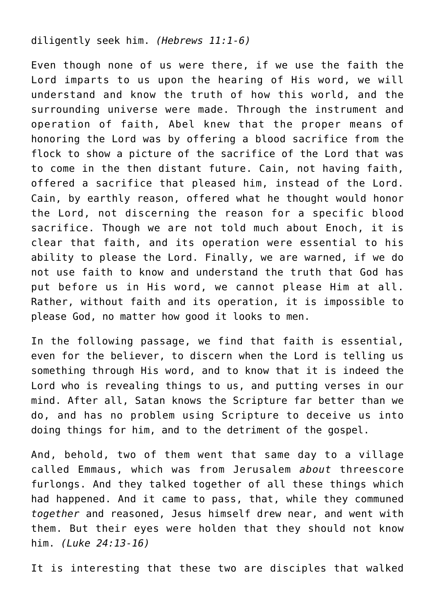#### diligently seek him. *(Hebrews 11:1-6)*

Even though none of us were there, if we use the faith the Lord imparts to us upon the hearing of His word, we will understand and know the truth of how this world, and the surrounding universe were made. Through the instrument and operation of faith, Abel knew that the proper means of honoring the Lord was by offering a blood sacrifice from the flock to show a picture of the sacrifice of the Lord that was to come in the then distant future. Cain, not having faith, offered a sacrifice that pleased him, instead of the Lord. Cain, by earthly reason, offered what he thought would honor the Lord, not discerning the reason for a specific blood sacrifice. Though we are not told much about Enoch, it is clear that faith, and its operation were essential to his ability to please the Lord. Finally, we are warned, if we do not use faith to know and understand the truth that God has put before us in His word, we cannot please Him at all. Rather, without faith and its operation, it is impossible to please God, no matter how good it looks to men.

In the following passage, we find that faith is essential, even for the believer, to discern when the Lord is telling us something through His word, and to know that it is indeed the Lord who is revealing things to us, and putting verses in our mind. After all, Satan knows the Scripture far better than we do, and has no problem using Scripture to deceive us into doing things for him, and to the detriment of the gospel.

And, behold, two of them went that same day to a village called Emmaus, which was from Jerusalem *about* threescore furlongs. And they talked together of all these things which had happened. And it came to pass, that, while they communed *together* and reasoned, Jesus himself drew near, and went with them. But their eyes were holden that they should not know him. *(Luke 24:13-16)*

It is interesting that these two are disciples that walked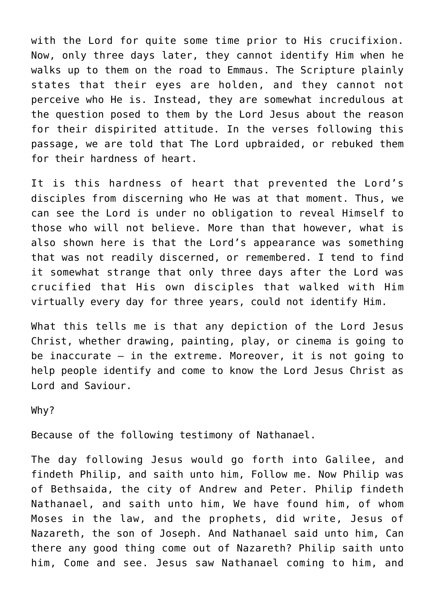with the Lord for quite some time prior to His crucifixion. Now, only three days later, they cannot identify Him when he walks up to them on the road to Emmaus. The Scripture plainly states that their eyes are holden, and they cannot not perceive who He is. Instead, they are somewhat incredulous at the question posed to them by the Lord Jesus about the reason for their dispirited attitude. In the verses following this passage, we are told that The Lord upbraided, or rebuked them for their hardness of heart.

It is this hardness of heart that prevented the Lord's disciples from discerning who He was at that moment. Thus, we can see the Lord is under no obligation to reveal Himself to those who will not believe. More than that however, what is also shown here is that the Lord's appearance was something that was not readily discerned, or remembered. I tend to find it somewhat strange that only three days after the Lord was crucified that His own disciples that walked with Him virtually every day for three years, could not identify Him.

What this tells me is that any depiction of the Lord Jesus Christ, whether drawing, painting, play, or cinema is going to be inaccurate — in the extreme. Moreover, it is not going to help people identify and come to know the Lord Jesus Christ as Lord and Saviour.

Why?

Because of the following testimony of Nathanael.

The day following Jesus would go forth into Galilee, and findeth Philip, and saith unto him, Follow me. Now Philip was of Bethsaida, the city of Andrew and Peter. Philip findeth Nathanael, and saith unto him, We have found him, of whom Moses in the law, and the prophets, did write, Jesus of Nazareth, the son of Joseph. And Nathanael said unto him, Can there any good thing come out of Nazareth? Philip saith unto him, Come and see. Jesus saw Nathanael coming to him, and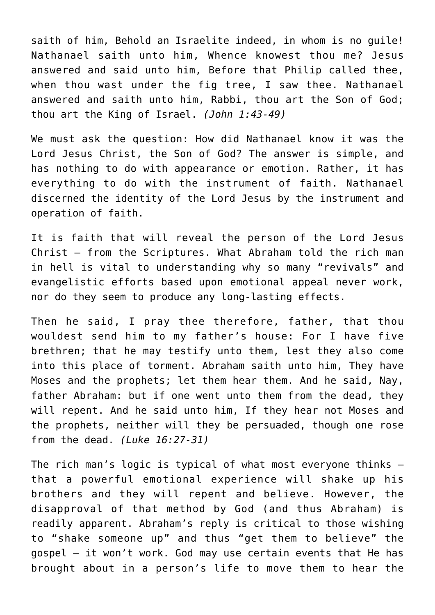saith of him, Behold an Israelite indeed, in whom is no guile! Nathanael saith unto him, Whence knowest thou me? Jesus answered and said unto him, Before that Philip called thee, when thou wast under the fig tree, I saw thee. Nathanael answered and saith unto him, Rabbi, thou art the Son of God; thou art the King of Israel. *(John 1:43-49)*

We must ask the question: How did Nathanael know it was the Lord Jesus Christ, the Son of God? The answer is simple, and has nothing to do with appearance or emotion. Rather, it has everything to do with the instrument of faith. Nathanael discerned the identity of the Lord Jesus by the instrument and operation of faith.

It is faith that will reveal the person of the Lord Jesus Christ — from the Scriptures. What Abraham told the rich man in hell is vital to understanding why so many "revivals" and evangelistic efforts based upon emotional appeal never work, nor do they seem to produce any long-lasting effects.

Then he said, I pray thee therefore, father, that thou wouldest send him to my father's house: For I have five brethren; that he may testify unto them, lest they also come into this place of torment. Abraham saith unto him, They have Moses and the prophets; let them hear them. And he said, Nay, father Abraham: but if one went unto them from the dead, they will repent. And he said unto him, If they hear not Moses and the prophets, neither will they be persuaded, though one rose from the dead. *(Luke 16:27-31)*

The rich man's logic is typical of what most everyone thinks that a powerful emotional experience will shake up his brothers and they will repent and believe. However, the disapproval of that method by God (and thus Abraham) is readily apparent. Abraham's reply is critical to those wishing to "shake someone up" and thus "get them to believe" the gospel — it won't work. God may use certain events that He has brought about in a person's life to move them to hear the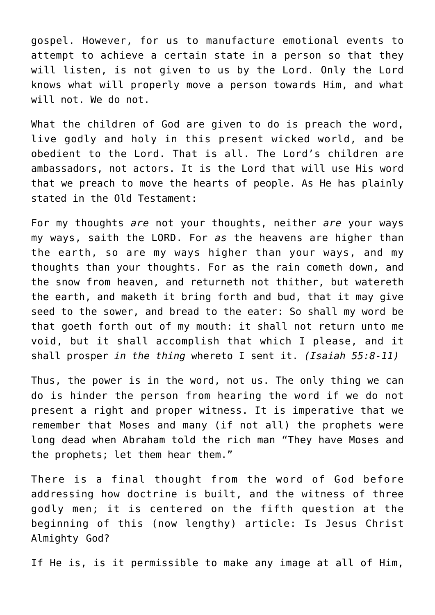gospel. However, for us to manufacture emotional events to attempt to achieve a certain state in a person so that they will listen, is not given to us by the Lord. Only the Lord knows what will properly move a person towards Him, and what will not. We do not.

What the children of God are given to do is preach the word, live godly and holy in this present wicked world, and be obedient to the Lord. That is all. The Lord's children are ambassadors, not actors. It is the Lord that will use His word that we preach to move the hearts of people. As He has plainly stated in the Old Testament:

For my thoughts *are* not your thoughts, neither *are* your ways my ways, saith the LORD. For *as* the heavens are higher than the earth, so are my ways higher than your ways, and my thoughts than your thoughts. For as the rain cometh down, and the snow from heaven, and returneth not thither, but watereth the earth, and maketh it bring forth and bud, that it may give seed to the sower, and bread to the eater: So shall my word be that goeth forth out of my mouth: it shall not return unto me void, but it shall accomplish that which I please, and it shall prosper *in the thing* whereto I sent it. *(Isaiah 55:8-11)*

Thus, the power is in the word, not us. The only thing we can do is hinder the person from hearing the word if we do not present a right and proper witness. It is imperative that we remember that Moses and many (if not all) the prophets were long dead when Abraham told the rich man "They have Moses and the prophets; let them hear them."

There is a final thought from the word of God before addressing how doctrine is built, and the witness of three godly men; it is centered on the fifth question at the beginning of this (now lengthy) article: Is Jesus Christ Almighty God?

If He is, is it permissible to make any image at all of Him,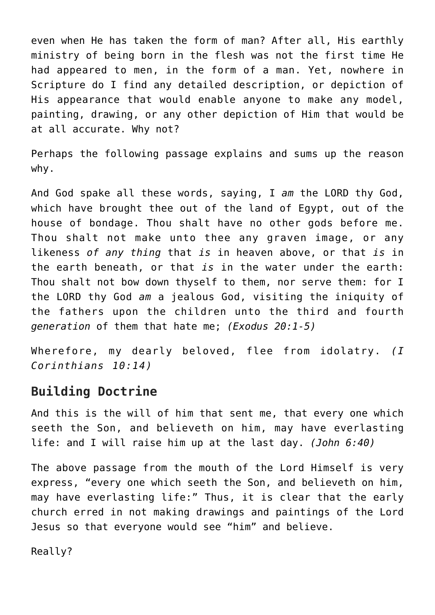even when He has taken the form of man? After all, His earthly ministry of being born in the flesh was not the first time He had appeared to men, in the form of a man. Yet, nowhere in Scripture do I find any detailed description, or depiction of His appearance that would enable anyone to make any model, painting, drawing, or any other depiction of Him that would be at all accurate. Why not?

Perhaps the following passage explains and sums up the reason why.

And God spake all these words, saying, I *am* the LORD thy God, which have brought thee out of the land of Egypt, out of the house of bondage. Thou shalt have no other gods before me. Thou shalt not make unto thee any graven image, or any likeness *of any thing* that *is* in heaven above, or that *is* in the earth beneath, or that *is* in the water under the earth: Thou shalt not bow down thyself to them, nor serve them: for I the LORD thy God *am* a jealous God, visiting the iniquity of the fathers upon the children unto the third and fourth *generation* of them that hate me; *(Exodus 20:1-5)*

Wherefore, my dearly beloved, flee from idolatry. *(I Corinthians 10:14)*

## **Building Doctrine**

And this is the will of him that sent me, that every one which seeth the Son, and believeth on him, may have everlasting life: and I will raise him up at the last day. *(John 6:40)*

The above passage from the mouth of the Lord Himself is very express, "every one which seeth the Son, and believeth on him, may have everlasting life:" Thus, it is clear that the early church erred in not making drawings and paintings of the Lord Jesus so that everyone would see "him" and believe.

Really?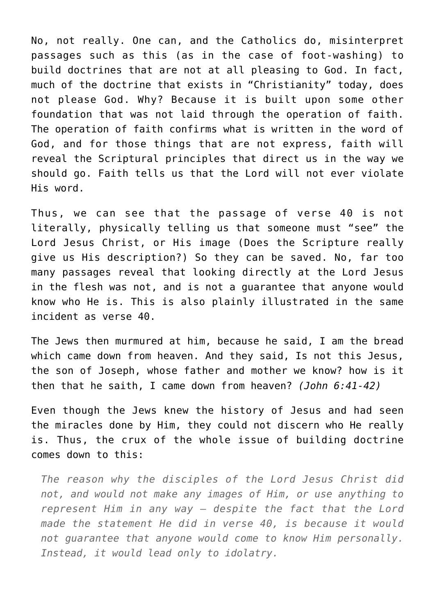No, not really. One can, and the Catholics do, misinterpret passages such as this (as in the case of foot-washing) to build doctrines that are not at all pleasing to God. In fact, much of the doctrine that exists in "Christianity" today, does not please God. Why? Because it is built upon some other foundation that was not laid through the operation of faith. The operation of faith confirms what is written in the word of God, and for those things that are not express, faith will reveal the Scriptural principles that direct us in the way we should go. Faith tells us that the Lord will not ever violate His word.

Thus, we can see that the passage of verse 40 is not literally, physically telling us that someone must "see" the Lord Jesus Christ, or His image (Does the Scripture really give us His description?) So they can be saved. No, far too many passages reveal that looking directly at the Lord Jesus in the flesh was not, and is not a guarantee that anyone would know who He is. This is also plainly illustrated in the same incident as verse 40.

The Jews then murmured at him, because he said, I am the bread which came down from heaven. And they said, Is not this Jesus, the son of Joseph, whose father and mother we know? how is it then that he saith, I came down from heaven? *(John 6:41-42)*

Even though the Jews knew the history of Jesus and had seen the miracles done by Him, they could not discern who He really is. Thus, the crux of the whole issue of building doctrine comes down to this:

*The reason why the disciples of the Lord Jesus Christ did not, and would not make any images of Him, or use anything to represent Him in any way — despite the fact that the Lord made the statement He did in verse 40, is because it would not guarantee that anyone would come to know Him personally. Instead, it would lead only to idolatry.*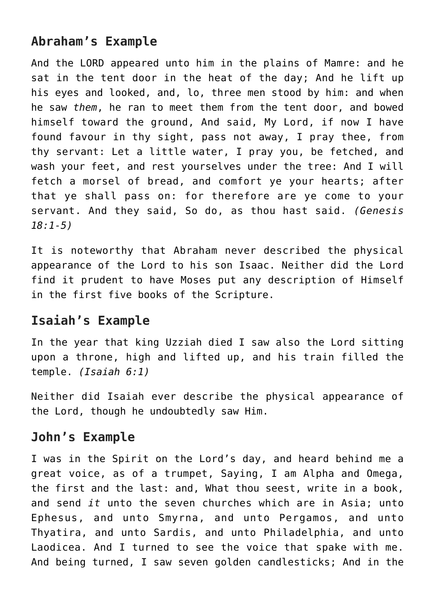# **Abraham's Example**

And the LORD appeared unto him in the plains of Mamre: and he sat in the tent door in the heat of the day; And he lift up his eyes and looked, and, lo, three men stood by him: and when he saw *them*, he ran to meet them from the tent door, and bowed himself toward the ground, And said, My Lord, if now I have found favour in thy sight, pass not away, I pray thee, from thy servant: Let a little water, I pray you, be fetched, and wash your feet, and rest yourselves under the tree: And I will fetch a morsel of bread, and comfort ye your hearts; after that ye shall pass on: for therefore are ye come to your servant. And they said, So do, as thou hast said. *(Genesis 18:1-5)*

It is noteworthy that Abraham never described the physical appearance of the Lord to his son Isaac. Neither did the Lord find it prudent to have Moses put any description of Himself in the first five books of the Scripture.

### **Isaiah's Example**

In the year that king Uzziah died I saw also the Lord sitting upon a throne, high and lifted up, and his train filled the temple. *(Isaiah 6:1)*

Neither did Isaiah ever describe the physical appearance of the Lord, though he undoubtedly saw Him.

### **John's Example**

I was in the Spirit on the Lord's day, and heard behind me a great voice, as of a trumpet, Saying, I am Alpha and Omega, the first and the last: and, What thou seest, write in a book, and send *it* unto the seven churches which are in Asia; unto Ephesus, and unto Smyrna, and unto Pergamos, and unto Thyatira, and unto Sardis, and unto Philadelphia, and unto Laodicea. And I turned to see the voice that spake with me. And being turned, I saw seven golden candlesticks; And in the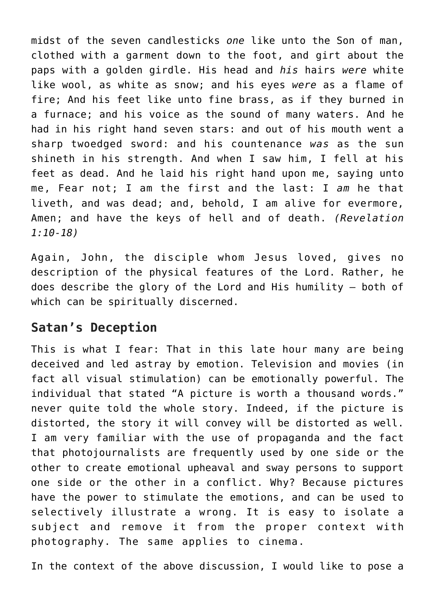midst of the seven candlesticks *one* like unto the Son of man, clothed with a garment down to the foot, and girt about the paps with a golden girdle. His head and *his* hairs *were* white like wool, as white as snow; and his eyes *were* as a flame of fire; And his feet like unto fine brass, as if they burned in a furnace; and his voice as the sound of many waters. And he had in his right hand seven stars: and out of his mouth went a sharp twoedged sword: and his countenance *was* as the sun shineth in his strength. And when I saw him, I fell at his feet as dead. And he laid his right hand upon me, saying unto me, Fear not; I am the first and the last: I *am* he that liveth, and was dead; and, behold, I am alive for evermore, Amen; and have the keys of hell and of death. *(Revelation 1:10-18)*

Again, John, the disciple whom Jesus loved, gives no description of the physical features of the Lord. Rather, he does describe the glory of the Lord and His humility — both of which can be spiritually discerned.

## **Satan's Deception**

This is what I fear: That in this late hour many are being deceived and led astray by emotion. Television and movies (in fact all visual stimulation) can be emotionally powerful. The individual that stated "A picture is worth a thousand words." never quite told the whole story. Indeed, if the picture is distorted, the story it will convey will be distorted as well. I am very familiar with the use of propaganda and the fact that photojournalists are frequently used by one side or the other to create emotional upheaval and sway persons to support one side or the other in a conflict. Why? Because pictures have the power to stimulate the emotions, and can be used to selectively illustrate a wrong. It is easy to isolate a subject and remove it from the proper context with photography. The same applies to cinema.

In the context of the above discussion, I would like to pose a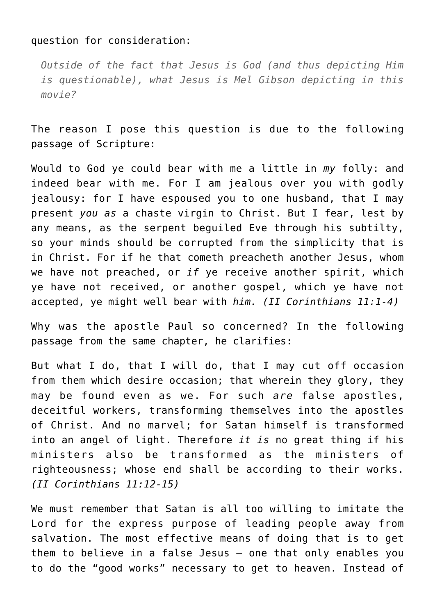#### question for consideration:

*Outside of the fact that Jesus is God (and thus depicting Him is questionable), what Jesus is Mel Gibson depicting in this movie?*

The reason I pose this question is due to the following passage of Scripture:

Would to God ye could bear with me a little in *my* folly: and indeed bear with me. For I am jealous over you with godly jealousy: for I have espoused you to one husband, that I may present *you as* a chaste virgin to Christ. But I fear, lest by any means, as the serpent beguiled Eve through his subtilty, so your minds should be corrupted from the simplicity that is in Christ. For if he that cometh preacheth another Jesus, whom we have not preached, or *if* ye receive another spirit, which ye have not received, or another gospel, which ye have not accepted, ye might well bear with *him. (II Corinthians 11:1-4)*

Why was the apostle Paul so concerned? In the following passage from the same chapter, he clarifies:

But what I do, that I will do, that I may cut off occasion from them which desire occasion; that wherein they glory, they may be found even as we. For such *are* false apostles, deceitful workers, transforming themselves into the apostles of Christ. And no marvel; for Satan himself is transformed into an angel of light. Therefore *it is* no great thing if his ministers also be transformed as the ministers of righteousness; whose end shall be according to their works. *(II Corinthians 11:12-15)*

We must remember that Satan is all too willing to imitate the Lord for the express purpose of leading people away from salvation. The most effective means of doing that is to get them to believe in a false Jesus — one that only enables you to do the "good works" necessary to get to heaven. Instead of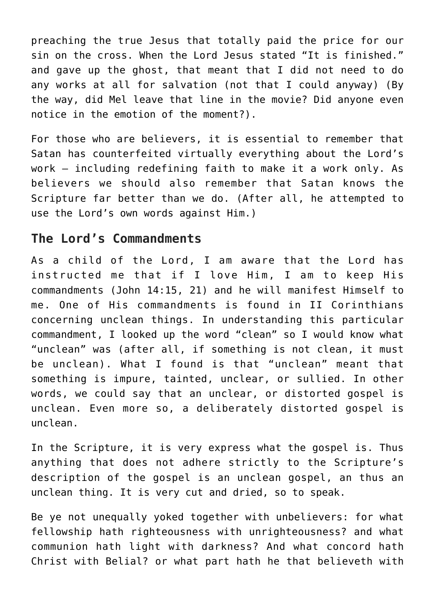preaching the true Jesus that totally paid the price for our sin on the cross. When the Lord Jesus stated "It is finished." and gave up the ghost, that meant that I did not need to do any works at all for salvation (not that I could anyway) (By the way, did Mel leave that line in the movie? Did anyone even notice in the emotion of the moment?).

For those who are believers, it is essential to remember that Satan has counterfeited virtually everything about the Lord's work — including redefining faith to make it a work only. As believers we should also remember that Satan knows the Scripture far better than we do. (After all, he attempted to use the Lord's own words against Him.)

## **The Lord's Commandments**

As a child of the Lord, I am aware that the Lord has instructed me that if I love Him, I am to keep His commandments (John 14:15, 21) and he will manifest Himself to me. One of His commandments is found in II Corinthians concerning unclean things. In understanding this particular commandment, I looked up the word "clean" so I would know what "unclean" was (after all, if something is not clean, it must be unclean). What I found is that "unclean" meant that something is impure, tainted, unclear, or sullied. In other words, we could say that an unclear, or distorted gospel is unclean. Even more so, a deliberately distorted gospel is unclean.

In the Scripture, it is very express what the gospel is. Thus anything that does not adhere strictly to the Scripture's description of the gospel is an unclean gospel, an thus an unclean thing. It is very cut and dried, so to speak.

Be ye not unequally yoked together with unbelievers: for what fellowship hath righteousness with unrighteousness? and what communion hath light with darkness? And what concord hath Christ with Belial? or what part hath he that believeth with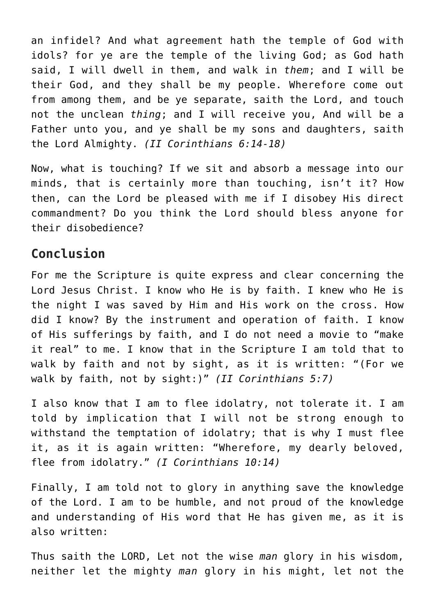an infidel? And what agreement hath the temple of God with idols? for ye are the temple of the living God; as God hath said, I will dwell in them, and walk in *them*; and I will be their God, and they shall be my people. Wherefore come out from among them, and be ye separate, saith the Lord, and touch not the unclean *thing*; and I will receive you, And will be a Father unto you, and ye shall be my sons and daughters, saith the Lord Almighty. *(II Corinthians 6:14-18)*

Now, what is touching? If we sit and absorb a message into our minds, that is certainly more than touching, isn't it? How then, can the Lord be pleased with me if I disobey His direct commandment? Do you think the Lord should bless anyone for their disobedience?

# **Conclusion**

For me the Scripture is quite express and clear concerning the Lord Jesus Christ. I know who He is by faith. I knew who He is the night I was saved by Him and His work on the cross. How did I know? By the instrument and operation of faith. I know of His sufferings by faith, and I do not need a movie to "make it real" to me. I know that in the Scripture I am told that to walk by faith and not by sight, as it is written: "(For we walk by faith, not by sight:)" *(II Corinthians 5:7)*

I also know that I am to flee idolatry, not tolerate it. I am told by implication that I will not be strong enough to withstand the temptation of idolatry; that is why I must flee it, as it is again written: "Wherefore, my dearly beloved, flee from idolatry." *(I Corinthians 10:14)*

Finally, I am told not to glory in anything save the knowledge of the Lord. I am to be humble, and not proud of the knowledge and understanding of His word that He has given me, as it is also written:

Thus saith the LORD, Let not the wise *man* glory in his wisdom, neither let the mighty *man* glory in his might, let not the